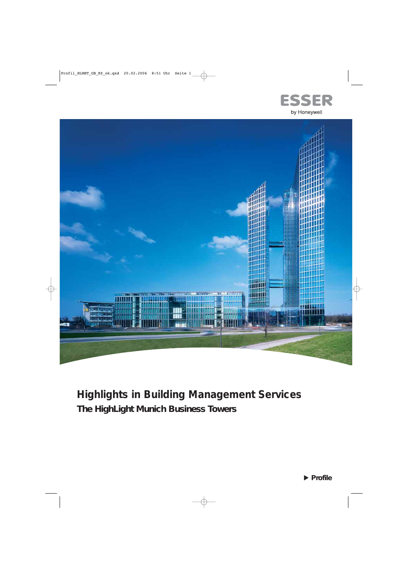



# **Highlights in Building Management Services The HighLight Munich Business Towers**

**Profile**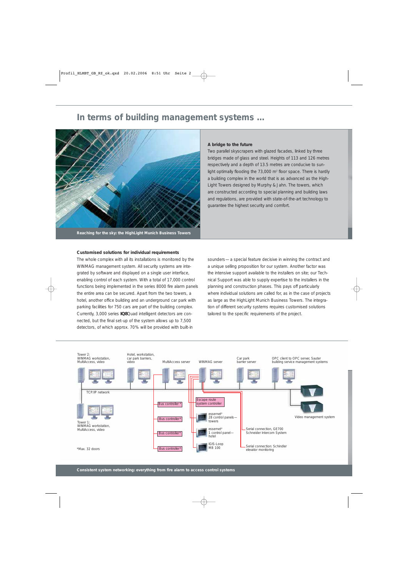# **In terms of building management systems …**



**Reaching for the sky: the HighLight Munich Business Towers**

#### **Customised solutions for individual requirements**

The whole complex with all its installations is monitored by the WINMAG management system. All security systems are integrated by software and displayed on a single user interface, enabling control of each system. With a total of 17,000 control functions being implemented in the series 8000 fire alarm panels the entire area can be secured. Apart from the two towers, a hotel, another office building and an underground car park with parking facilities for 750 cars are part of the building complex. Currently, 3,000 series **IQ8**Quad intelligent detectors are connected, but the final set-up of the system allows up to 7,500 detectors, of which approx. 70% will be provided with built-in

#### **A bridge to the future**

Two parallel skyscrapers with glazed facades, linked by three bridges made of glass and steel. Heights of 113 and 126 metres respectively and a depth of 13.5 metres are conducive to sunlight optimally flooding the 73,000 m<sup>2</sup> floor space. There is hardly a building complex in the world that is as advanced as the High-Light Towers designed by Murphy & Jahn. The towers, which are constructed according to special planning and building laws and regulations, are provided with state-of-the-art technology to guarantee the highest security and comfort.

sounders—a special feature decisive in winning the contract and a unique selling proposition for our system. Another factor was the intensive support available to the installers on site; our Technical Support was able to supply expertise to the installers in the planning and construction phases. This pays off particularly where individual solutions are called for, as in the case of projects as large as the HighLight Munich Business Towers. The integration of different security systems requires customised solutions tailored to the specific requirements of the project.

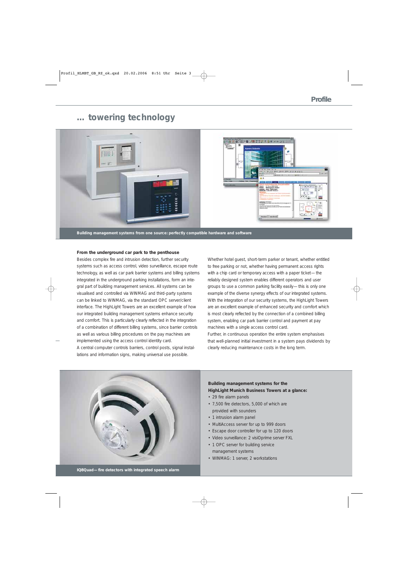# **… towering technology**



**Building management systems from one source: perfectly compatible hardware and software**

### **From the underground car park to the penthouse**

Besides complex fire and intrusion detection, further security systems such as access control, video surveillance, escape route technology, as well as car park barrier systems and billing systems integrated in the underground parking installations, form an integral part of building management services. All systems can be visualised and controlled via WINMAG and third-party systems can be linked to WINMAG, via the standard OPC server/client interface. The HighLight Towers are an excellent example of how our integrated building management systems enhance security and comfort. This is particularly clearly reflected in the integration of a combination of different billing systems, since barrier controls as well as various billing procedures on the pay machines are implemented using the access control identity card. A central computer controls barriers, control posts, signal installations and information signs, making universal use possible.

Whether hotel guest, short-term parker or tenant, whether entitled to free parking or not, whether having permanent access rights with a chip card or temporary access with a paper ticket—the reliably designed system enables different operators and user groups to use a common parking facility easily—this is only one example of the diverse synergy effects of our integrated systems. With the integration of our security systems, the HighLight Towers are an excellent example of enhanced security and comfort which is most clearly reflected by the connection of a combined billing system, enabling car park barrier control and payment at pay machines with a single access control card.

Further, in continuous operation the entire system emphasises that well-planned initial investment in a system pays dividends by clearly reducing maintenance costs in the long term.



### **Building management systems for the HighLight Munich Business Towers at a glance:**

- 29 fire alarm panels
- 7,500 fire detectors, 5,000 of which are provided with sounders
- 1 intrusion alarm panel
- MultiAccess server for up to 999 doors
- Escape door controller for up to 120 doors
- Video surveillance: 2 visiOprime server FXL
- 1 OPC server for building service management systems
- WINMAG: 1 server, 2 workstations

**IQ8Quad—fire detectors with integrated speech alarm**